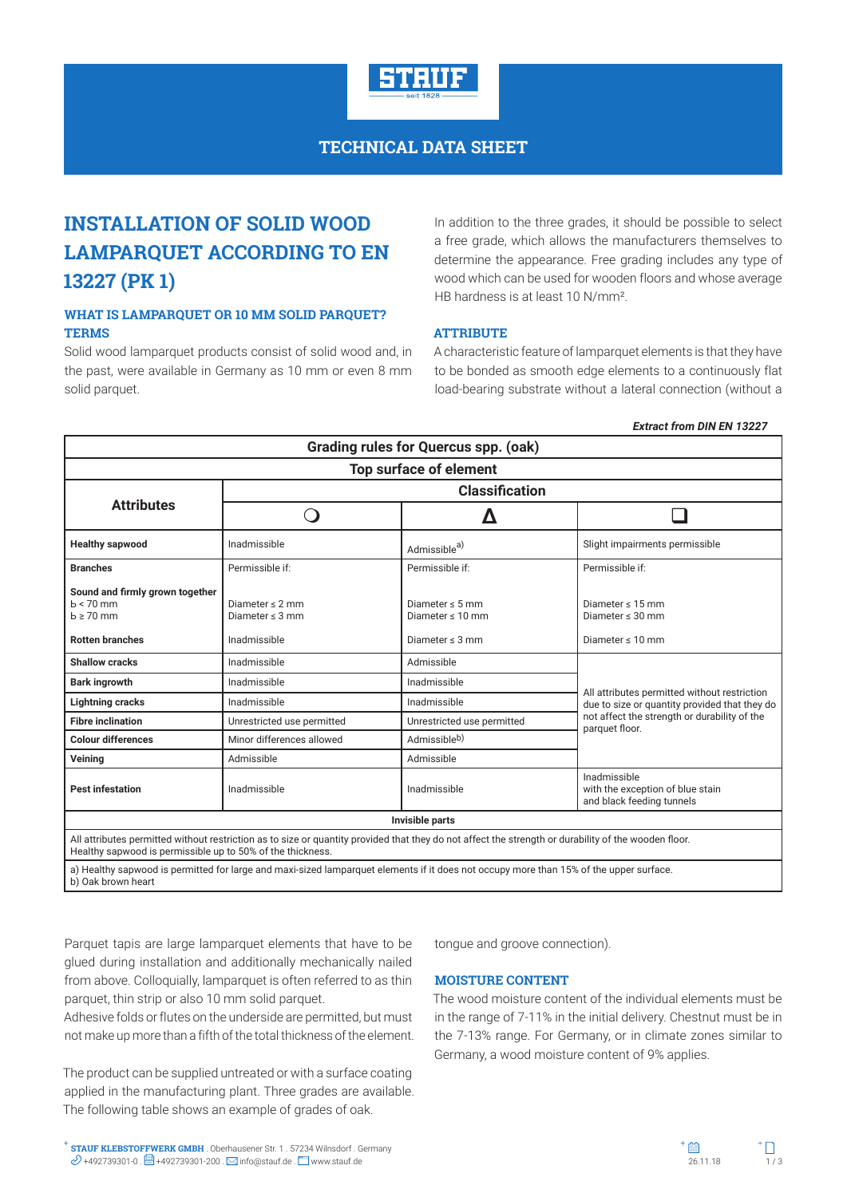

# **TECHNICAL DATA SHEET**

# **INSTALLATION OF SOLID WOOD LAMPARQUET ACCORDING TO EN 13227 (PK 1)**

# **WHAT IS LAMPARQUET OR 10 MM SOLID PARQUET? TERMS**

Solid wood lamparquet products consist of solid wood and, in the past, were available in Germany as 10 mm or even 8 mm solid parquet.

In addition to the three grades, it should be possible to select a free grade, which allows the manufacturers themselves to determine the appearance. Free grading includes any type of wood which can be used for wooden floors and whose average HB hardness is at least 10 N/mm².

# **ATTRIBUTE**

A characteristic feature of lamparquet elements is that they have to be bonded as smooth edge elements to a continuously flat load-bearing substrate without a lateral connection (without a

#### *Extract from DIN EN 13227*

| <b>Grading rules for Quercus spp. (oak)</b><br>Top surface of element                                                                                                                                              |                                              |                                               |                                                                               |  |  |  |
|--------------------------------------------------------------------------------------------------------------------------------------------------------------------------------------------------------------------|----------------------------------------------|-----------------------------------------------|-------------------------------------------------------------------------------|--|--|--|
|                                                                                                                                                                                                                    |                                              |                                               |                                                                               |  |  |  |
|                                                                                                                                                                                                                    |                                              |                                               |                                                                               |  |  |  |
| <b>Healthy sapwood</b>                                                                                                                                                                                             | Inadmissible                                 | Admissible <sup>a)</sup>                      | Slight impairments permissible                                                |  |  |  |
| <b>Branches</b>                                                                                                                                                                                                    | Permissible if:                              | Permissible if:                               | Permissible if:                                                               |  |  |  |
| Sound and firmly grown together<br>$b < 70$ mm<br>$b \ge 70$ mm                                                                                                                                                    | Diameter $\leq$ 2 mm<br>Diameter $\leq$ 3 mm | Diameter $\leq 5$ mm<br>Diameter $\leq 10$ mm | Diameter $\leq 15$ mm<br>Diameter $\leq 30$ mm                                |  |  |  |
| <b>Rotten branches</b>                                                                                                                                                                                             | Inadmissible                                 | Diameter $\leq$ 3 mm                          | Diameter $\leq 10$ mm                                                         |  |  |  |
| <b>Shallow cracks</b>                                                                                                                                                                                              | Inadmissible                                 | Admissible                                    | All attributes permitted without restriction                                  |  |  |  |
| <b>Bark ingrowth</b>                                                                                                                                                                                               | Inadmissible                                 | Inadmissible                                  |                                                                               |  |  |  |
| <b>Lightning cracks</b>                                                                                                                                                                                            | Inadmissible                                 | Inadmissible                                  | due to size or quantity provided that they do                                 |  |  |  |
| <b>Fibre inclination</b>                                                                                                                                                                                           | Unrestricted use permitted                   | Unrestricted use permitted                    | not affect the strength or durability of the<br>parquet floor.                |  |  |  |
| <b>Colour differences</b>                                                                                                                                                                                          | Minor differences allowed                    | Admissibleb)                                  |                                                                               |  |  |  |
| Veining                                                                                                                                                                                                            | Admissible                                   | Admissible                                    |                                                                               |  |  |  |
| <b>Pest infestation</b>                                                                                                                                                                                            | Inadmissible                                 | Inadmissible                                  | Inadmissible<br>with the exception of blue stain<br>and black feeding tunnels |  |  |  |
| Invisible parts                                                                                                                                                                                                    |                                              |                                               |                                                                               |  |  |  |
| All attributes permitted without restriction as to size or quantity provided that they do not affect the strength or durability of the wooden floor.<br>Healthy sapwood is permissible up to 50% of the thickness. |                                              |                                               |                                                                               |  |  |  |
| a) Healthy sapwood is permitted for large and maxi-sized lamparquet elements if it does not occupy more than 15% of the upper surface.<br>b) Oak brown heart                                                       |                                              |                                               |                                                                               |  |  |  |

Parquet tapis are large lamparquet elements that have to be glued during installation and additionally mechanically nailed from above. Colloquially, lamparquet is often referred to as thin parquet, thin strip or also 10 mm solid parquet.

Adhesive folds or flutes on the underside are permitted, but must not make up more than a fifth of the total thickness of the element.

The product can be supplied untreated or with a surface coating applied in the manufacturing plant. Three grades are available. The following table shows an example of grades of oak.

tongue and groove connection).

#### **MOISTURE CONTENT**

The wood moisture content of the individual elements must be in the range of 7-11% in the initial delivery. Chestnut must be in the 7-13% range. For Germany, or in climate zones similar to Germany, a wood moisture content of 9% applies.

**STAUF KLEBSTOFFWERK GMBH** . Oberhausener Str. 1 . 57234 Wilnsdorf . Germany **STAUF KLEBSTOFFWERK GMBH** . Oberhausener Str. 1 . 57234 Wilnsdorf . Germany  $\mathscr{D}$  +492739301-0 .  $\Box$  +492739301-200 .  $\boxtimes$  info@stauf.de .  $\Box$  www.stauf.de .  $\Box$  www.stauf.de .  $\Box$  . 26.11.18 1/ 3

 $+$  $\mathbb{R}$ 

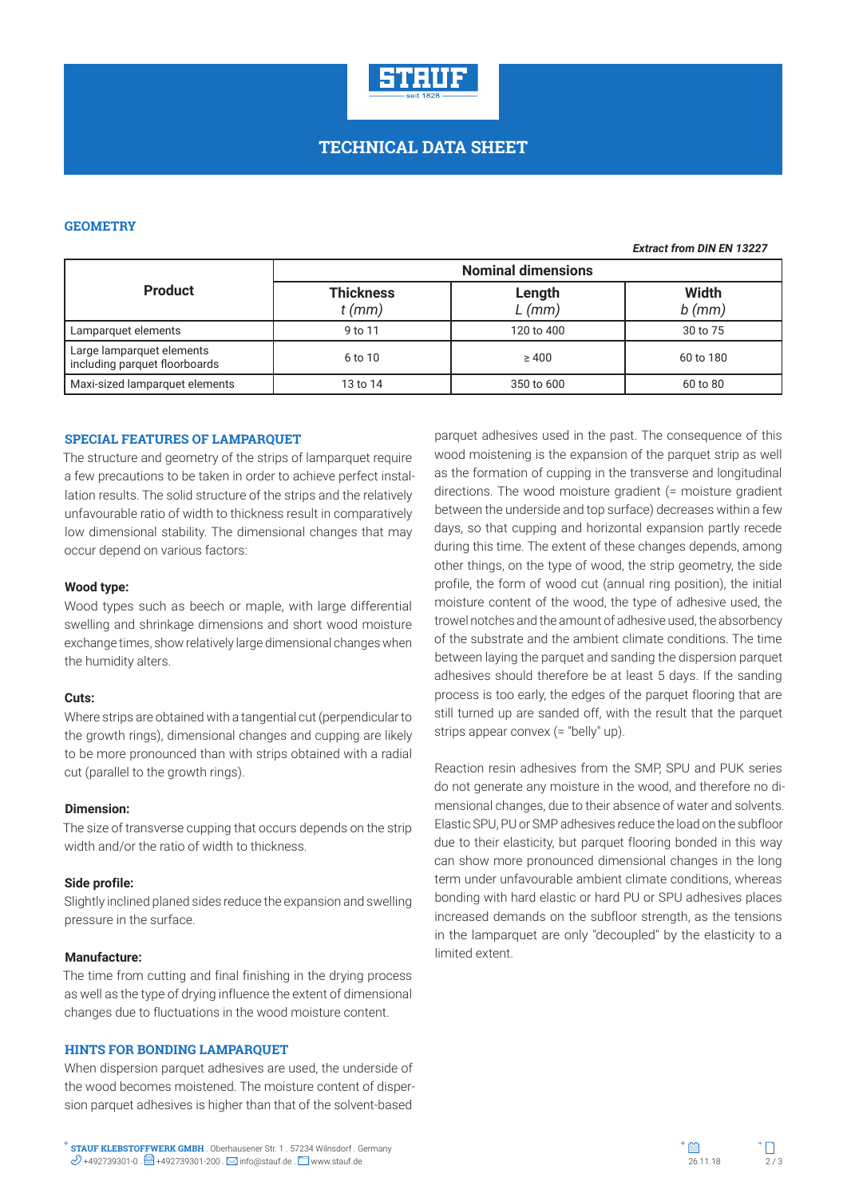

#### **GEOMETRY**

|                                                            | <b>Nominal dimensions</b>    |                |                   |  |
|------------------------------------------------------------|------------------------------|----------------|-------------------|--|
| <b>Product</b>                                             | <b>Thickness</b><br>$t$ (mm) | Length<br>(mm) | Width<br>$b$ (mm) |  |
| Lamparquet elements                                        | 9 to 11                      | 120 to 400     | 30 to 75          |  |
| Large lamparquet elements<br>including parquet floorboards | 6 to 10                      | $\geq 400$     | 60 to 180         |  |
| Maxi-sized lamparquet elements                             | 13 to 14                     | 350 to 600     | 60 to 80          |  |

#### **SPECIAL FEATURES OF LAMPARQUET**

The structure and geometry of the strips of lamparquet require a few precautions to be taken in order to achieve perfect installation results. The solid structure of the strips and the relatively unfavourable ratio of width to thickness result in comparatively low dimensional stability. The dimensional changes that may occur depend on various factors:

### **Wood type:**

Wood types such as beech or maple, with large differential swelling and shrinkage dimensions and short wood moisture exchange times, show relatively large dimensional changes when the humidity alters.

#### **Cuts:**

Where strips are obtained with a tangential cut (perpendicular to the growth rings), dimensional changes and cupping are likely to be more pronounced than with strips obtained with a radial cut (parallel to the growth rings).

#### **Dimension:**

The size of transverse cupping that occurs depends on the strip width and/or the ratio of width to thickness.

#### **Side profile:**

Slightly inclined planed sides reduce the expansion and swelling pressure in the surface.

#### **Manufacture:**

The time from cutting and final finishing in the drying process as well as the type of drying influence the extent of dimensional changes due to fluctuations in the wood moisture content.

## **HINTS FOR BONDING LAMPARQUET**

When dispersion parquet adhesives are used, the underside of the wood becomes moistened. The moisture content of dispersion parquet adhesives is higher than that of the solvent-based

parquet adhesives used in the past. The consequence of this wood moistening is the expansion of the parquet strip as well as the formation of cupping in the transverse and longitudinal directions. The wood moisture gradient (= moisture gradient between the underside and top surface) decreases within a few days, so that cupping and horizontal expansion partly recede during this time. The extent of these changes depends, among other things, on the type of wood, the strip geometry, the side profile, the form of wood cut (annual ring position), the initial moisture content of the wood, the type of adhesive used, the trowel notches and the amount of adhesive used, the absorbency of the substrate and the ambient climate conditions. The time between laying the parquet and sanding the dispersion parquet adhesives should therefore be at least 5 days. If the sanding process is too early, the edges of the parquet flooring that are still turned up are sanded off, with the result that the parquet strips appear convex (= "belly" up).

Reaction resin adhesives from the SMP, SPU and PUK series do not generate any moisture in the wood, and therefore no dimensional changes, due to their absence of water and solvents. Elastic SPU, PU or SMP adhesives reduce the load on the subfloor due to their elasticity, but parquet flooring bonded in this way can show more pronounced dimensional changes in the long term under unfavourable ambient climate conditions, whereas bonding with hard elastic or hard PU or SPU adhesives places increased demands on the subfloor strength, as the tensions in the lamparquet are only "decoupled" by the elasticity to a limited extent.